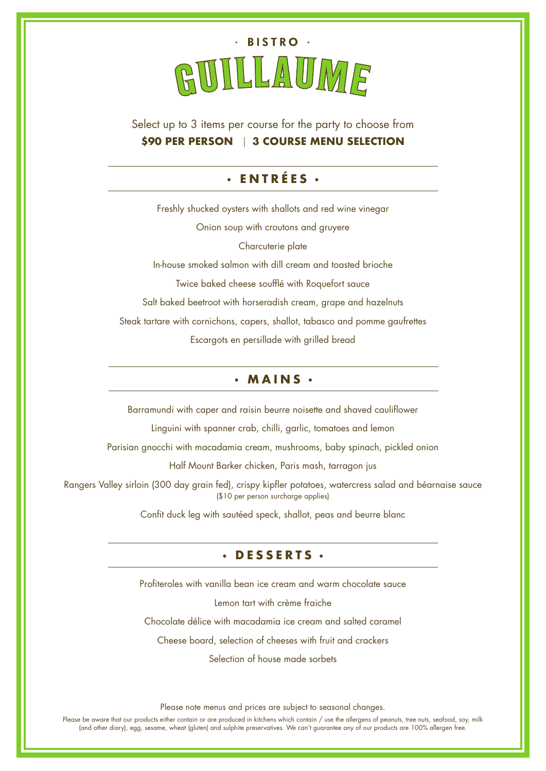

Select up to 3 items per course for the party to choose from **\$90 PER PERSON** | **3 COURSE MENU SELECTION**

## **ENTRÉES**

Freshly shucked oysters with shallots and red wine vinegar Onion soup with croutons and gruyere Charcuterie plate In-house smoked salmon with dill cream and toasted brioche Twice baked cheese soufflé with Roquefort sauce Salt baked beetroot with horseradish cream, grape and hazelnuts Steak tartare with cornichons, capers, shallot, tabasco and pomme gaufrettes Escargots en persillade with grilled bread

## **MAINS**

Barramundi with caper and raisin beurre noisette and shaved cauliflower

Linguini with spanner crab, chilli, garlic, tomatoes and lemon

Parisian gnocchi with macadamia cream, mushrooms, baby spinach, pickled onion

Half Mount Barker chicken, Paris mash, tarragon jus

Rangers Valley sirloin (300 day grain fed), crispy kipfler potatoes, watercress salad and béarnaise sauce (\$10 per person surcharge applies)

Confit duck leg with sautéed speck, shallot, peas and beurre blanc

## **DESSERTS**

Profiteroles with vanilla bean ice cream and warm chocolate sauce

Lemon tart with crème fraiche

Chocolate délice with macadamia ice cream and salted caramel

Cheese board, selection of cheeses with fruit and crackers

Selection of house made sorbets

Please note menus and prices are subject to seasonal changes.

Please be aware that our products either contain or are produced in kitchens which contain / use the allergens of peanuts, tree nuts, seafood, soy, milk (and other diary), egg, sesame, wheat (gluten) and sulphite preservatives. We can't guarantee any of our products are 100% allergen free.